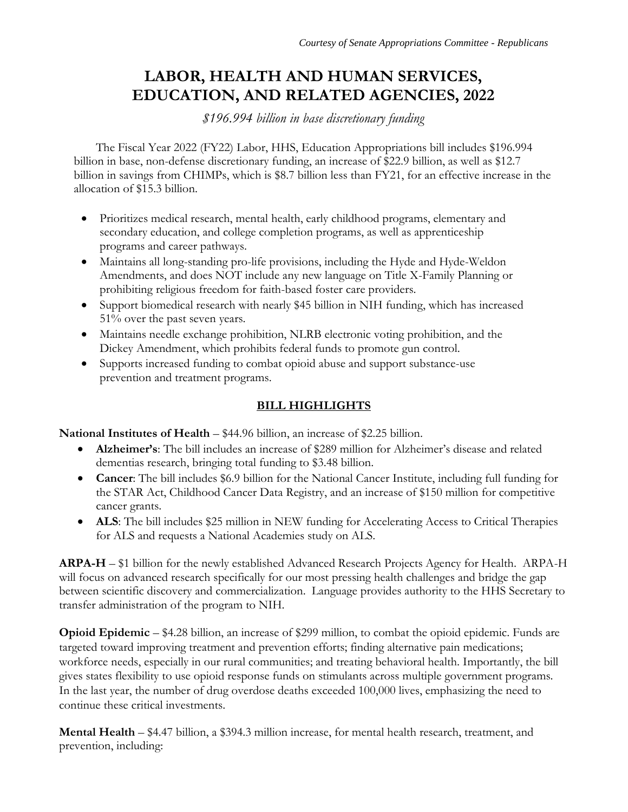# **LABOR, HEALTH AND HUMAN SERVICES, EDUCATION, AND RELATED AGENCIES, 2022**

*\$196.994 billion in base discretionary funding*

The Fiscal Year 2022 (FY22) Labor, HHS, Education Appropriations bill includes \$196.994 billion in base, non-defense discretionary funding, an increase of \$22.9 billion, as well as \$12.7 billion in savings from CHIMPs, which is \$8.7 billion less than FY21, for an effective increase in the allocation of \$15.3 billion.

- Prioritizes medical research, mental health, early childhood programs, elementary and secondary education, and college completion programs, as well as apprenticeship programs and career pathways.
- Maintains all long-standing pro-life provisions, including the Hyde and Hyde-Weldon Amendments, and does NOT include any new language on Title X-Family Planning or prohibiting religious freedom for faith-based foster care providers.
- Support biomedical research with nearly \$45 billion in NIH funding, which has increased 51% over the past seven years.
- Maintains needle exchange prohibition, NLRB electronic voting prohibition, and the Dickey Amendment, which prohibits federal funds to promote gun control.
- Supports increased funding to combat opioid abuse and support substance-use prevention and treatment programs.

## **BILL HIGHLIGHTS**

**National Institutes of Health – \$44.96 billion, an increase of \$2.25 billion.** 

- **Alzheimer's**: The bill includes an increase of \$289 million for Alzheimer's disease and related dementias research, bringing total funding to \$3.48 billion.
- **Cancer**: The bill includes \$6.9 billion for the National Cancer Institute, including full funding for the STAR Act, Childhood Cancer Data Registry, and an increase of \$150 million for competitive cancer grants.
- **ALS**: The bill includes \$25 million in NEW funding for Accelerating Access to Critical Therapies for ALS and requests a National Academies study on ALS.

**ARPA-H** – \$1 billion for the newly established Advanced Research Projects Agency for Health. ARPA-H will focus on advanced research specifically for our most pressing health challenges and bridge the gap between scientific discovery and commercialization. Language provides authority to the HHS Secretary to transfer administration of the program to NIH.

**Opioid Epidemic – \$4.28 billion, an increase of \$299 million, to combat the opioid epidemic. Funds are** targeted toward improving treatment and prevention efforts; finding alternative pain medications; workforce needs, especially in our rural communities; and treating behavioral health. Importantly, the bill gives states flexibility to use opioid response funds on stimulants across multiple government programs. In the last year, the number of drug overdose deaths exceeded 100,000 lives, emphasizing the need to continue these critical investments.

**Mental Health** – \$4.47 billion, a \$394.3 million increase, for mental health research, treatment, and prevention, including: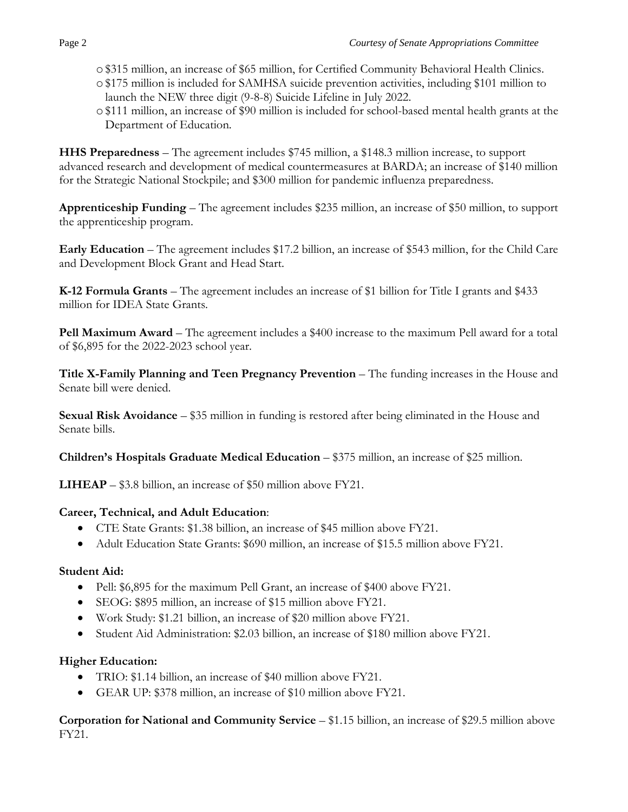- o\$315 million, an increase of \$65 million, for Certified Community Behavioral Health Clinics.
- o\$175 million is included for SAMHSA suicide prevention activities, including \$101 million to launch the NEW three digit (9-8-8) Suicide Lifeline in July 2022.
- o\$111 million, an increase of \$90 million is included for school-based mental health grants at the Department of Education.

**HHS Preparedness** – The agreement includes \$745 million, a \$148.3 million increase, to support advanced research and development of medical countermeasures at BARDA; an increase of \$140 million for the Strategic National Stockpile; and \$300 million for pandemic influenza preparedness.

**Apprenticeship Funding** – The agreement includes \$235 million, an increase of \$50 million, to support the apprenticeship program.

**Early Education** – The agreement includes \$17.2 billion, an increase of \$543 million, for the Child Care and Development Block Grant and Head Start.

**K-12 Formula Grants** – The agreement includes an increase of \$1 billion for Title I grants and \$433 million for IDEA State Grants.

**Pell Maximum Award –** The agreement includes a \$400 increase to the maximum Pell award for a total of \$6,895 for the 2022-2023 school year.

**Title X-Family Planning and Teen Pregnancy Prevention** – The funding increases in the House and Senate bill were denied.

**Sexual Risk Avoidance** – \$35 million in funding is restored after being eliminated in the House and Senate bills.

**Children's Hospitals Graduate Medical Education** – \$375 million, an increase of \$25 million.

**LIHEAP** – \$3.8 billion, an increase of \$50 million above FY21.

#### **Career, Technical, and Adult Education**:

- CTE State Grants: \$1.38 billion, an increase of \$45 million above FY21.
- Adult Education State Grants: \$690 million, an increase of \$15.5 million above FY21.

#### **Student Aid:**

- Pell: \$6,895 for the maximum Pell Grant, an increase of \$400 above FY21.
- SEOG: \$895 million, an increase of \$15 million above FY21.
- Work Study: \$1.21 billion, an increase of \$20 million above FY21.
- Student Aid Administration: \$2.03 billion, an increase of \$180 million above FY21.

### **Higher Education:**

- TRIO: \$1.14 billion, an increase of \$40 million above FY21.
- GEAR UP: \$378 million, an increase of \$10 million above FY21.

**Corporation for National and Community Service** – \$1.15 billion, an increase of \$29.5 million above FY21.